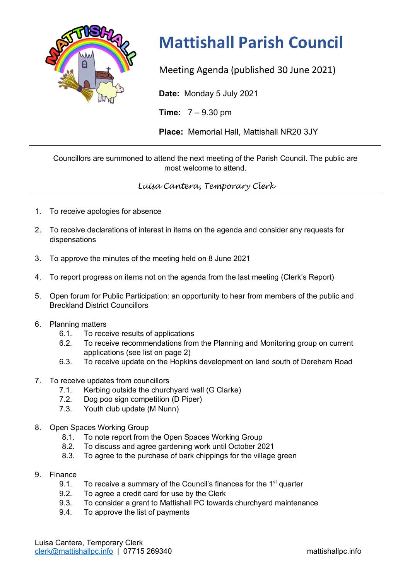

## **Mattishall Parish Council**

Meeting Agenda (published 30 June 2021)

**Date:** Monday 5 July 2021

**Time:** 7 – 9.30 pm

**Place:** Memorial Hall, Mattishall NR20 3JY

Councillors are summoned to attend the next meeting of the Parish Council. The public are most welcome to attend.

*Luisa Cantera, Temporary Clerk*

- 1. To receive apologies for absence
- 2. To receive declarations of interest in items on the agenda and consider any requests for dispensations
- 3. To approve the minutes of the meeting held on 8 June 2021
- 4. To report progress on items not on the agenda from the last meeting (Clerk's Report)
- 5. Open forum for Public Participation: an opportunity to hear from members of the public and Breckland District Councillors
- 6. Planning matters
	- 6.1. To receive results of applications
	- 6.2. To receive recommendations from the Planning and Monitoring group on current applications (see list on page 2)
	- 6.3. To receive update on the Hopkins development on land south of Dereham Road
- 7. To receive updates from councillors
	- 7.1. Kerbing outside the churchyard wall (G Clarke)
	- 7.2. Dog poo sign competition (D Piper)
	- 7.3. Youth club update (M Nunn)
- 8. Open Spaces Working Group
	- 8.1. To note report from the Open Spaces Working Group
	- 8.2. To discuss and agree gardening work until October 2021
	- 8.3. To agree to the purchase of bark chippings for the village green
- 9. Finance
	- 9.1. To receive a summary of the Council's finances for the  $1<sup>st</sup>$  quarter
	- 9.2. To agree a credit card for use by the Clerk
	- 9.3. To consider a grant to Mattishall PC towards churchyard maintenance
	- 9.4. To approve the list of payments

Luisa Cantera, Temporary Clerk clerk@mattishallpc.info | 07715 269340 mattishallpc.info